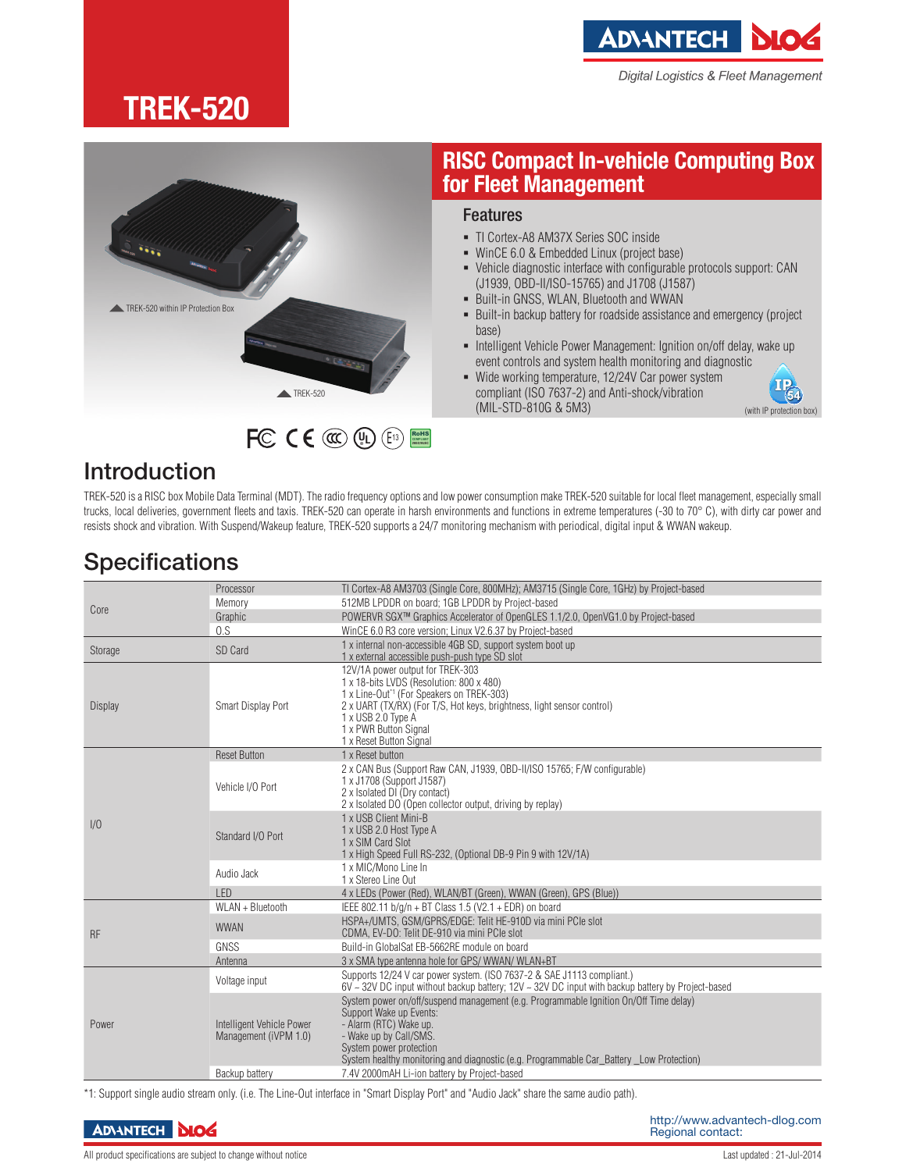**ADIANTECH** 

Digital Logistics & Fleet Management

## **TREK-520**



### Features **for Fleet Management**

- TI Cortex-A8 AM37X Series SOC inside
- WinCE 6.0 & Embedded Linux (project base)
- Vehicle diagnostic interface with configurable protocols support: CAN (J1939, OBD-II/ISO-15765) and J1708 (J1587)

**RISC Compact In-vehicle Computing Box** 

- Built-in GNSS, WLAN, Bluetooth and WWAN
- **Built-in backup battery for roadside assistance and emergency (project** base)
- **Intelligent Vehicle Power Management: Ignition on/off delay, wake up** event controls and system health monitoring and diagnostic
- Wide working temperature, 12/24V Car power system compliant (ISO 7637-2) and Anti-shock/vibration (MIL-STD-810G & 5M3)

 $(54)$ (with IP protection box)

#### Introduction

TREK-520 is a RISC box Mobile Data Terminal (MDT). The radio frequency options and low power consumption make TREK-520 suitable for local fleet management, especially small trucks, local deliveries, government fleets and taxis. TREK-520 can operate in harsh environments and functions in extreme temperatures (-30 to 70° C), with dirty car power and resists shock and vibration. With Suspend/Wakeup feature, TREK-520 supports a 24/7 monitoring mechanism with periodical, digital input & WWAN wakeup.

**UL** (E<sub>13</sub>) **BOHS** 

### **Specifications**

| Core           | Processor                                          | TI Cortex-A8 AM3703 (Single Core, 800MHz); AM3715 (Single Core, 1GHz) by Project-based                                                                                                                                                                                                                                                      |
|----------------|----------------------------------------------------|---------------------------------------------------------------------------------------------------------------------------------------------------------------------------------------------------------------------------------------------------------------------------------------------------------------------------------------------|
|                | Memory                                             | 512MB LPDDR on board; 1GB LPDDR by Project-based                                                                                                                                                                                                                                                                                            |
|                | Graphic                                            | POWERVR SGX™ Graphics Accelerator of OpenGLES 1.1/2.0, OpenVG1.0 by Project-based                                                                                                                                                                                                                                                           |
|                | 0.S                                                | WinCE 6.0 R3 core version: Linux V2.6.37 by Project-based                                                                                                                                                                                                                                                                                   |
|                | SD Card                                            | 1 x internal non-accessible 4GB SD, support system boot up                                                                                                                                                                                                                                                                                  |
| Storage        |                                                    | 1 x external accessible push-push type SD slot                                                                                                                                                                                                                                                                                              |
| <b>Display</b> | Smart Display Port                                 | 12V/1A power output for TREK-303<br>1 x 18-bits LVDS (Resolution: 800 x 480)<br>1 x Line-Out <sup>*1</sup> (For Speakers on TREK-303)<br>2 x UART (TX/RX) (For T/S, Hot keys, brightness, light sensor control)<br>1 x USB 2.0 Type A<br>1 x PWR Button Signal<br>1 x Reset Button Signal                                                   |
| 1/0            | <b>Reset Button</b>                                | 1 x Reset button                                                                                                                                                                                                                                                                                                                            |
|                | Vehicle I/O Port                                   | 2 x CAN Bus (Support Raw CAN, J1939, OBD-II/ISO 15765; F/W configurable)<br>1 x J1708 (Support J1587)<br>2 x Isolated DI (Dry contact)<br>2 x Isolated DO (Open collector output, driving by replay)                                                                                                                                        |
|                | Standard I/O Port                                  | 1 x USB Client Mini-B<br>1 x USB 2.0 Host Type A<br>1 x SIM Card Slot<br>1 x High Speed Full RS-232, (Optional DB-9 Pin 9 with 12V/1A)                                                                                                                                                                                                      |
|                | Audio Jack                                         | 1 x MIC/Mono Line In<br>1 x Stereo Line Out                                                                                                                                                                                                                                                                                                 |
|                | I FD                                               | 4 x LEDs (Power (Red), WLAN/BT (Green), WWAN (Green), GPS (Blue))                                                                                                                                                                                                                                                                           |
| <b>RF</b>      | WLAN + Bluetooth                                   | IEEE 802.11 b/g/n + BT Class 1.5 (V2.1 + EDR) on board                                                                                                                                                                                                                                                                                      |
|                | <b>WWAN</b>                                        | HSPA+/UMTS, GSM/GPRS/EDGE: Telit HE-910D via mini PCIe slot<br>CDMA, EV-DO: Telit DE-910 via mini PCIe slot                                                                                                                                                                                                                                 |
|                | GNSS                                               | Build-in GlobalSat EB-5662RE module on board                                                                                                                                                                                                                                                                                                |
|                | Antenna                                            | 3 x SMA type antenna hole for GPS/WWAN/WLAN+BT                                                                                                                                                                                                                                                                                              |
| Power          | Voltage input                                      | Supports 12/24 V car power system. (ISO 7637-2 & SAE J1113 compliant.)<br>$6V \sim 32V$ DC input without backup battery; 12V $\sim$ 32V DC input with backup battery by Project-based                                                                                                                                                       |
|                | Intelligent Vehicle Power<br>Management (iVPM 1.0) | System power on/off/suspend management (e.g. Programmable Ignition On/Off Time delay)<br>Support Wake up Events:<br>- Alarm (RTC) Wake up.<br>- Wake up by Call/SMS.<br>System power protection<br>System healthy monitoring and diagnostic (e.g. Programmable Car_Battery _Low Protection)<br>7.4V 2000mAH Li-ion battery by Project-based |
|                | Backup battery                                     |                                                                                                                                                                                                                                                                                                                                             |

\*1: Support single audio stream only. (i.e. The Line-Out interface in "Smart Display Port" and "Audio Jack" share the same audio path).

All product specifications are subject to change without notice  $\blacksquare$  and  $\blacksquare$  and  $\blacksquare$  and  $\blacksquare$  and  $\blacksquare$  and  $\blacksquare$  and  $\blacksquare$  and  $\blacksquare$  and  $\blacksquare$  and  $\blacksquare$  and  $\blacksquare$  and  $\blacksquare$  and  $\blacksquare$  and  $\blacksquare$  and  $\blacks$ 

**ADVANTECH DIOG**